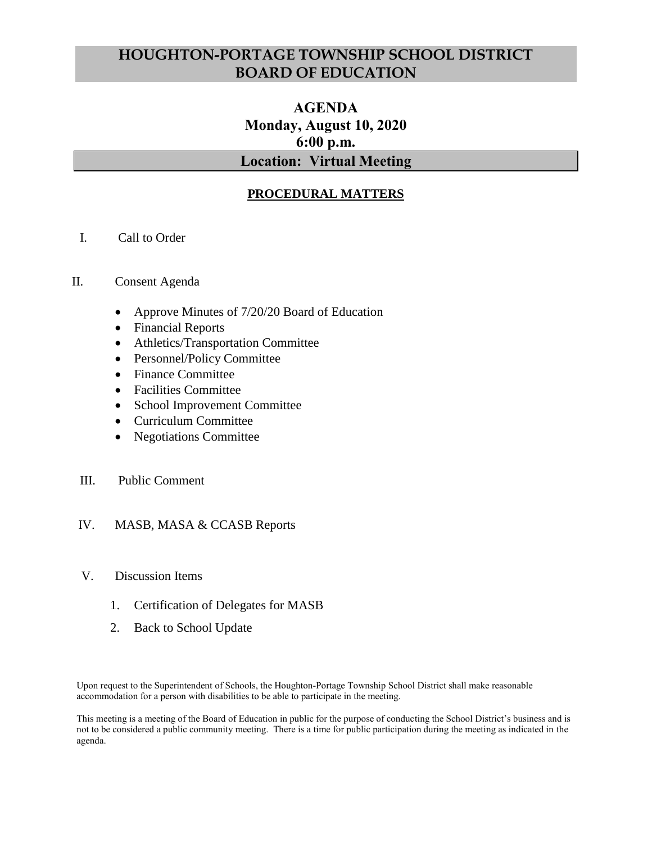# **HOUGHTON-PORTAGE TOWNSHIP SCHOOL DISTRICT BOARD OF EDUCATION**

# **AGENDA Monday, August 10, 2020 6:00 p.m. Location: Virtual Meeting**

# **PROCEDURAL MATTERS**

- I. Call to Order
- II. Consent Agenda
	- Approve Minutes of 7/20/20 Board of Education
	- Financial Reports
	- Athletics/Transportation Committee
	- Personnel/Policy Committee
	- Finance Committee
	- Facilities Committee
	- School Improvement Committee
	- Curriculum Committee
	- Negotiations Committee
	- III. Public Comment

### IV. MASB, MASA & CCASB Reports

- V. Discussion Items
	- 1. Certification of Delegates for MASB
	- 2. Back to School Update

Upon request to the Superintendent of Schools, the Houghton-Portage Township School District shall make reasonable accommodation for a person with disabilities to be able to participate in the meeting.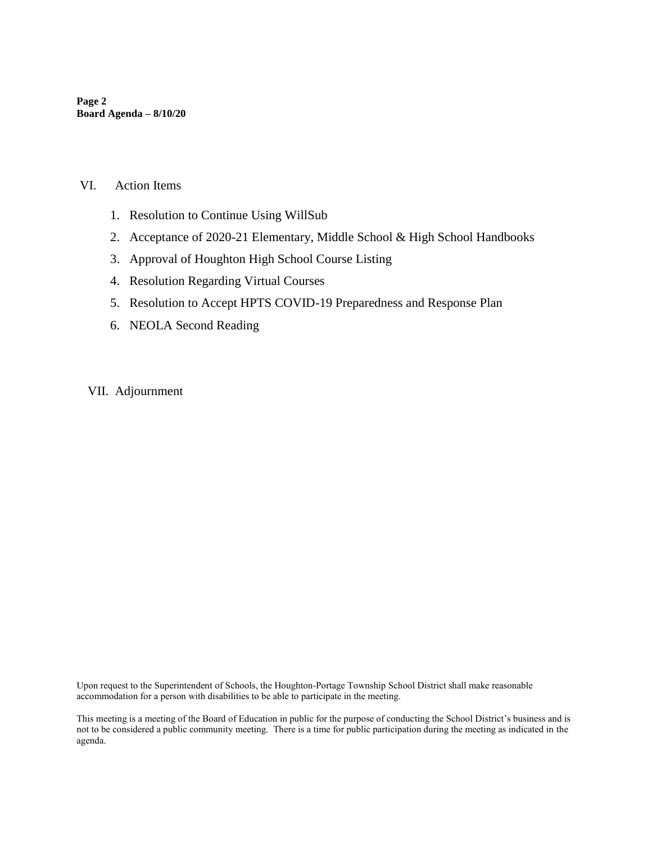**Page 2 Board Agenda – 8/10/20**

#### VI. Action Items

- 1. Resolution to Continue Using WillSub
- 2. Acceptance of 2020-21 Elementary, Middle School & High School Handbooks
- 3. Approval of Houghton High School Course Listing
- 4. Resolution Regarding Virtual Courses
- 5. Resolution to Accept HPTS COVID-19 Preparedness and Response Plan
- 6. NEOLA Second Reading
- VII. Adjournment

Upon request to the Superintendent of Schools, the Houghton-Portage Township School District shall make reasonable accommodation for a person with disabilities to be able to participate in the meeting.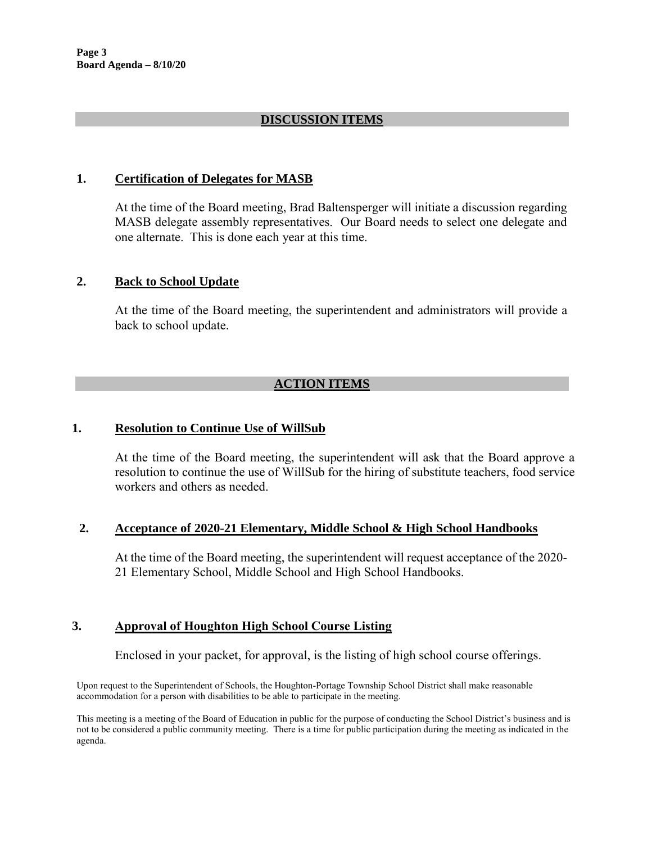## **DISCUSSION ITEMS**

### **1. Certification of Delegates for MASB**

At the time of the Board meeting, Brad Baltensperger will initiate a discussion regarding MASB delegate assembly representatives. Our Board needs to select one delegate and one alternate. This is done each year at this time.

### **2. Back to School Update**

At the time of the Board meeting, the superintendent and administrators will provide a back to school update.

# **ACTION ITEMS**

### **1. Resolution to Continue Use of WillSub**

At the time of the Board meeting, the superintendent will ask that the Board approve a resolution to continue the use of WillSub for the hiring of substitute teachers, food service workers and others as needed.

#### **2. Acceptance of 2020-21 Elementary, Middle School & High School Handbooks**

At the time of the Board meeting, the superintendent will request acceptance of the 2020- 21 Elementary School, Middle School and High School Handbooks.

### **3. Approval of Houghton High School Course Listing**

Enclosed in your packet, for approval, is the listing of high school course offerings.

Upon request to the Superintendent of Schools, the Houghton-Portage Township School District shall make reasonable accommodation for a person with disabilities to be able to participate in the meeting.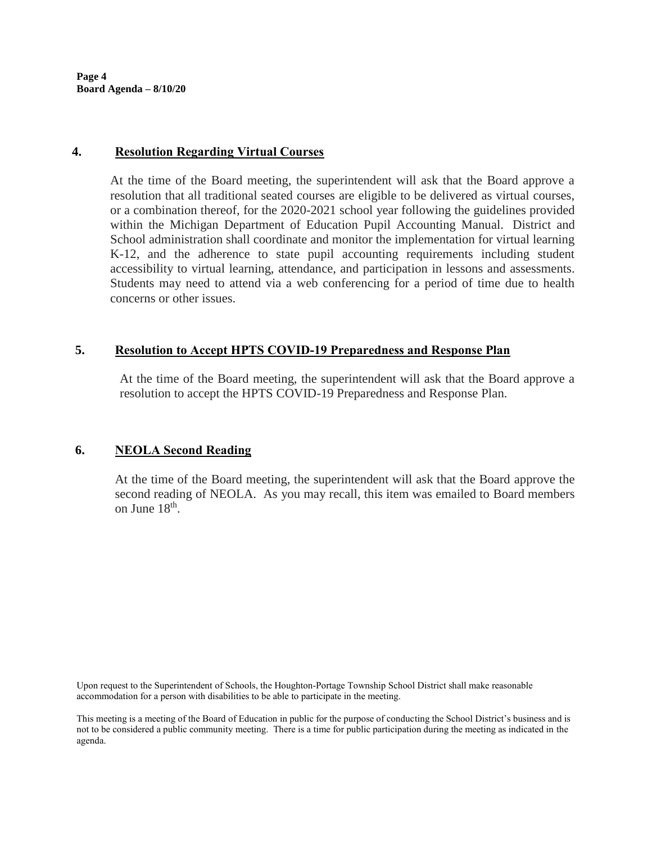**Page 4 Board Agenda – 8/10/20**

### **4. Resolution Regarding Virtual Courses**

At the time of the Board meeting, the superintendent will ask that the Board approve a resolution that all traditional seated courses are eligible to be delivered as virtual courses, or a combination thereof, for the 2020-2021 school year following the guidelines provided within the Michigan Department of Education Pupil Accounting Manual. District and School administration shall coordinate and monitor the implementation for virtual learning K-12, and the adherence to state pupil accounting requirements including student accessibility to virtual learning, attendance, and participation in lessons and assessments. Students may need to attend via a web conferencing for a period of time due to health concerns or other issues.

### **5. Resolution to Accept HPTS COVID-19 Preparedness and Response Plan**

At the time of the Board meeting, the superintendent will ask that the Board approve a resolution to accept the HPTS COVID-19 Preparedness and Response Plan.

### **6. NEOLA Second Reading**

At the time of the Board meeting, the superintendent will ask that the Board approve the second reading of NEOLA. As you may recall, this item was emailed to Board members on June 18<sup>th</sup>.

Upon request to the Superintendent of Schools, the Houghton-Portage Township School District shall make reasonable accommodation for a person with disabilities to be able to participate in the meeting.